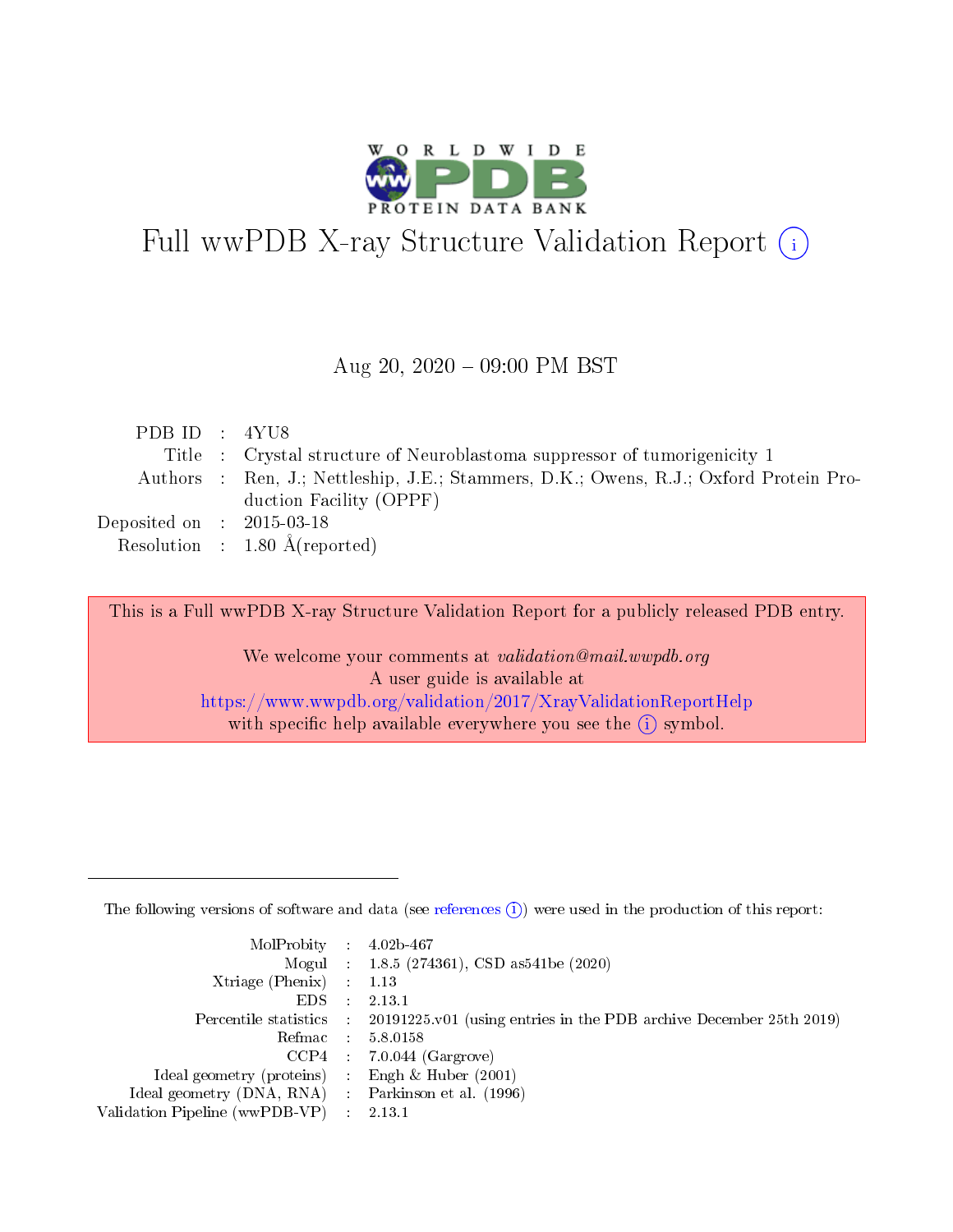

# Full wwPDB X-ray Structure Validation Report (i)

#### Aug 20,  $2020 - 09:00$  PM BST

| PDB ID : $4YU8$             |                                                                                       |
|-----------------------------|---------------------------------------------------------------------------------------|
|                             | Title : Crystal structure of Neuroblastoma suppressor of tumorigenicity 1             |
|                             | Authors : Ren, J.; Nettleship, J.E.; Stammers, D.K.; Owens, R.J.; Oxford Protein Pro- |
|                             | duction Facility (OPPF)                                                               |
| Deposited on : $2015-03-18$ |                                                                                       |
|                             | Resolution : $1.80 \text{ Å}$ (reported)                                              |

This is a Full wwPDB X-ray Structure Validation Report for a publicly released PDB entry.

We welcome your comments at validation@mail.wwpdb.org A user guide is available at <https://www.wwpdb.org/validation/2017/XrayValidationReportHelp> with specific help available everywhere you see the  $(i)$  symbol.

The following versions of software and data (see [references](https://www.wwpdb.org/validation/2017/XrayValidationReportHelp#references)  $(1)$ ) were used in the production of this report:

| $MolProbability$ : 4.02b-467                      |                              |                                                                                            |
|---------------------------------------------------|------------------------------|--------------------------------------------------------------------------------------------|
|                                                   |                              | Mogul : $1.8.5$ (274361), CSD as 541be (2020)                                              |
| Xtriage (Phenix) $: 1.13$                         |                              |                                                                                            |
| EDS.                                              | $\mathcal{L}$                | 2.13.1                                                                                     |
|                                                   |                              | Percentile statistics : 20191225.v01 (using entries in the PDB archive December 25th 2019) |
| Refmac : 5.8.0158                                 |                              |                                                                                            |
|                                                   |                              | $CCP4$ 7.0.044 (Gargrove)                                                                  |
| Ideal geometry (proteins)                         | $\mathcal{L}_{\mathrm{eff}}$ | Engh $\&$ Huber (2001)                                                                     |
| Ideal geometry (DNA, RNA) Parkinson et al. (1996) |                              |                                                                                            |
| Validation Pipeline (wwPDB-VP) : 2.13.1           |                              |                                                                                            |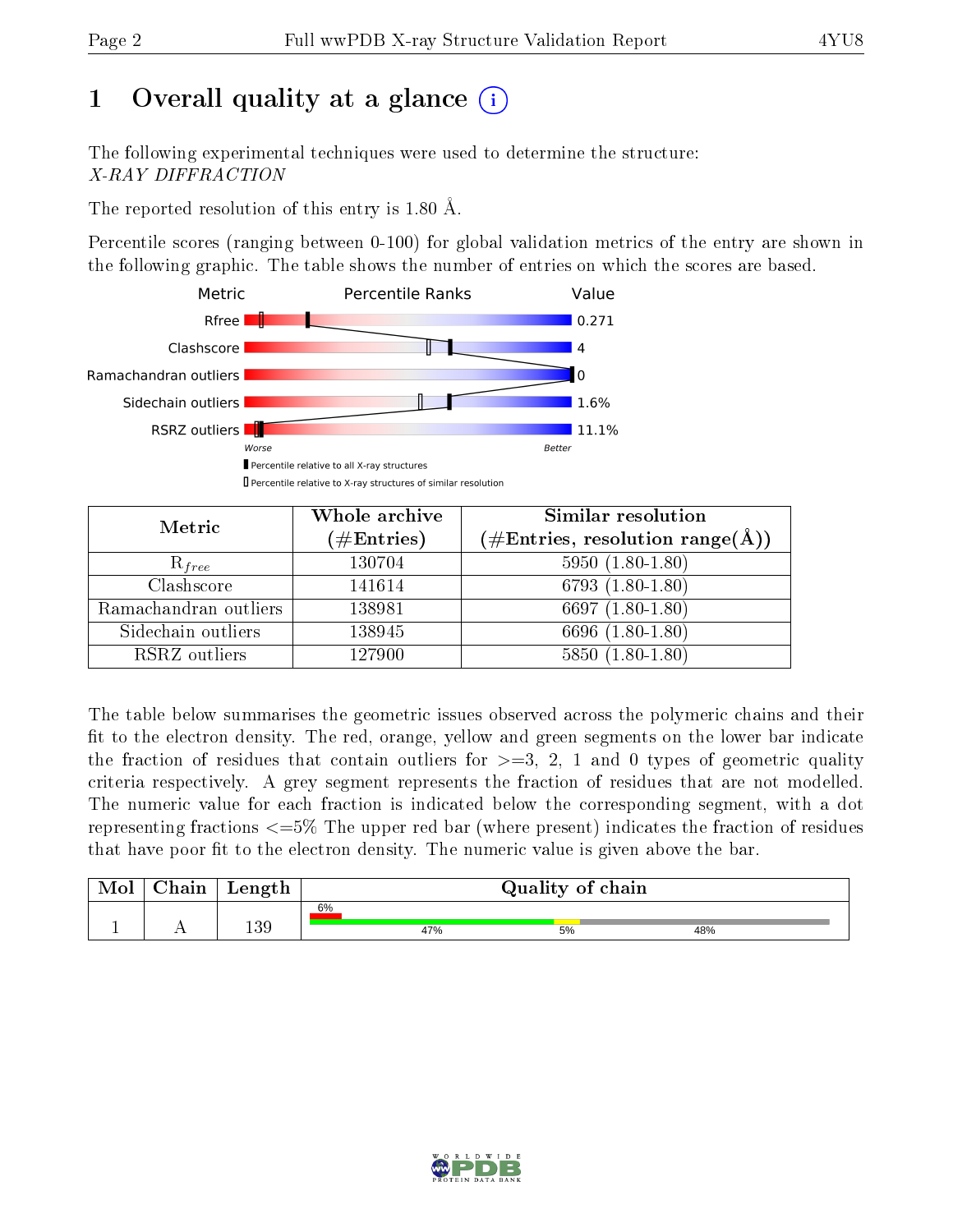# 1 [O](https://www.wwpdb.org/validation/2017/XrayValidationReportHelp#overall_quality)verall quality at a glance  $(i)$

The following experimental techniques were used to determine the structure: X-RAY DIFFRACTION

The reported resolution of this entry is 1.80 Å.

Percentile scores (ranging between 0-100) for global validation metrics of the entry are shown in the following graphic. The table shows the number of entries on which the scores are based.



| Metric                | Whole archive<br>$(\#\text{Entries})$ | Similar resolution<br>$(\#\text{Entries}, \text{resolution range}(\text{\AA}))$ |
|-----------------------|---------------------------------------|---------------------------------------------------------------------------------|
| $R_{free}$            | 130704                                | $5950(1.80-1.80)$                                                               |
| Clashscore            | 141614                                | $6793(1.80-1.80)$                                                               |
| Ramachandran outliers | 138981                                | 6697 $(1.80-1.80)$                                                              |
| Sidechain outliers    | 138945                                | 6696 (1.80-1.80)                                                                |
| RSRZ outliers         | 127900                                | $5850(1.80-1.80)$                                                               |

The table below summarises the geometric issues observed across the polymeric chains and their fit to the electron density. The red, orange, yellow and green segments on the lower bar indicate the fraction of residues that contain outliers for  $>=3, 2, 1$  and 0 types of geometric quality criteria respectively. A grey segment represents the fraction of residues that are not modelled. The numeric value for each fraction is indicated below the corresponding segment, with a dot representing fractions  $\epsilon=5\%$  The upper red bar (where present) indicates the fraction of residues that have poor fit to the electron density. The numeric value is given above the bar.

| Mol | Chain      | Length |     | Quality of chain |     |
|-----|------------|--------|-----|------------------|-----|
|     |            |        | 6%  |                  |     |
|     | <b>A</b> A | 139    | 47% | 5%               | 48% |

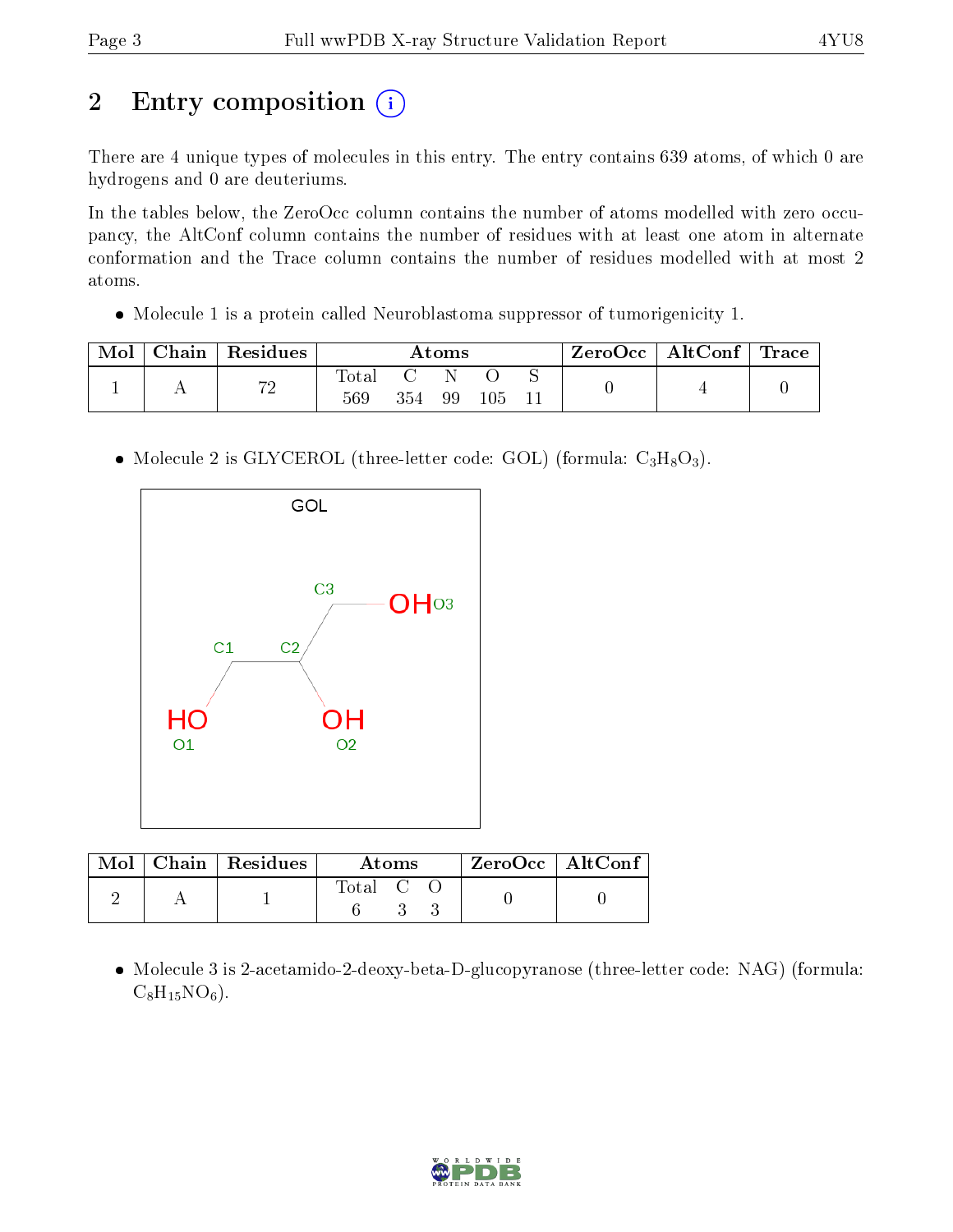# 2 Entry composition (i)

There are 4 unique types of molecules in this entry. The entry contains 639 atoms, of which 0 are hydrogens and 0 are deuteriums.

In the tables below, the ZeroOcc column contains the number of atoms modelled with zero occupancy, the AltConf column contains the number of residues with at least one atom in alternate conformation and the Trace column contains the number of residues modelled with at most 2 atoms.

Molecule 1 is a protein called Neuroblastoma suppressor of tumorigenicity 1.

| Mol | Chain   Residues | Atoms        |         |    |  | $\text{ZeroOcc} \mid \text{AltConf} \mid \text{Trace}$ |  |
|-----|------------------|--------------|---------|----|--|--------------------------------------------------------|--|
|     | 72               | Total<br>569 | $354\,$ | 99 |  |                                                        |  |

• Molecule 2 is GLYCEROL (three-letter code: GOL) (formula:  $C_3H_8O_3$ ).



|  | $\text{Mol}$   Chain   Residues | Atoms   | $ZeroOcc \   \ AltConf$ |  |
|--|---------------------------------|---------|-------------------------|--|
|  |                                 | Total C |                         |  |

• Molecule 3 is 2-acetamido-2-deoxy-beta-D-glucopyranose (three-letter code: NAG) (formula:  $C_8H_{15}NO_6$ .

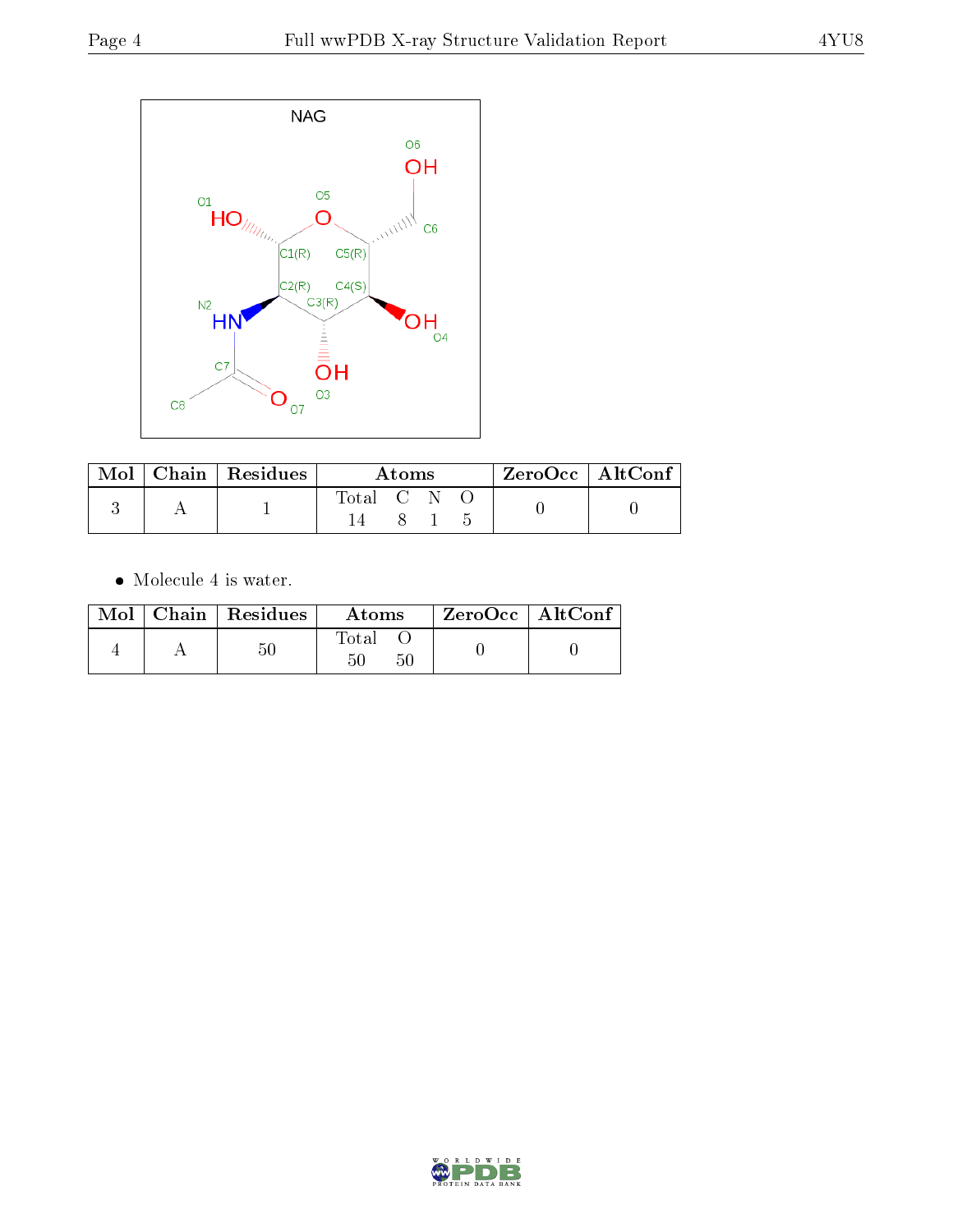

|  | $\text{Mol}$   Chain   Residues | Atoms                    |  |  | $^+$ ZeroOcc $\, \mid \, \text{AltConf} \, \, \cdot$ |  |
|--|---------------------------------|--------------------------|--|--|------------------------------------------------------|--|
|  |                                 | Total C $\overline{N}$ . |  |  |                                                      |  |
|  |                                 |                          |  |  |                                                      |  |

 $\bullet\,$  Molecule 4 is water.

|  | $Mol$   Chain   Residues | Atoms             | $ZeroOcc \mid AltConf \mid$ |
|--|--------------------------|-------------------|-----------------------------|
|  | 50                       | Total<br>50<br>50 |                             |

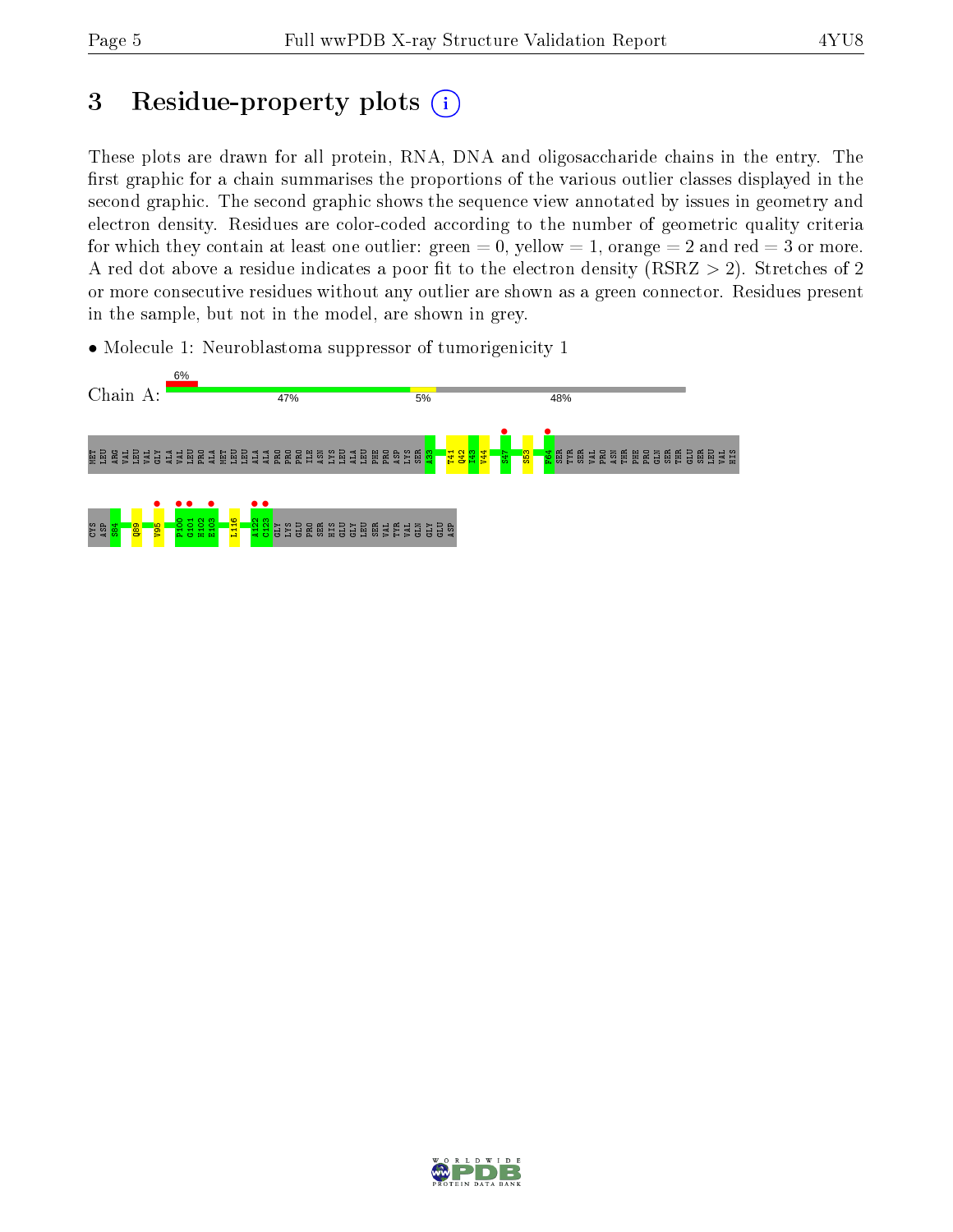## 3 Residue-property plots  $(i)$

These plots are drawn for all protein, RNA, DNA and oligosaccharide chains in the entry. The first graphic for a chain summarises the proportions of the various outlier classes displayed in the second graphic. The second graphic shows the sequence view annotated by issues in geometry and electron density. Residues are color-coded according to the number of geometric quality criteria for which they contain at least one outlier: green  $= 0$ , yellow  $= 1$ , orange  $= 2$  and red  $= 3$  or more. A red dot above a residue indicates a poor fit to the electron density ( $RSRZ > 2$ ). Stretches of 2 or more consecutive residues without any outlier are shown as a green connector. Residues present in the sample, but not in the model, are shown in grey.





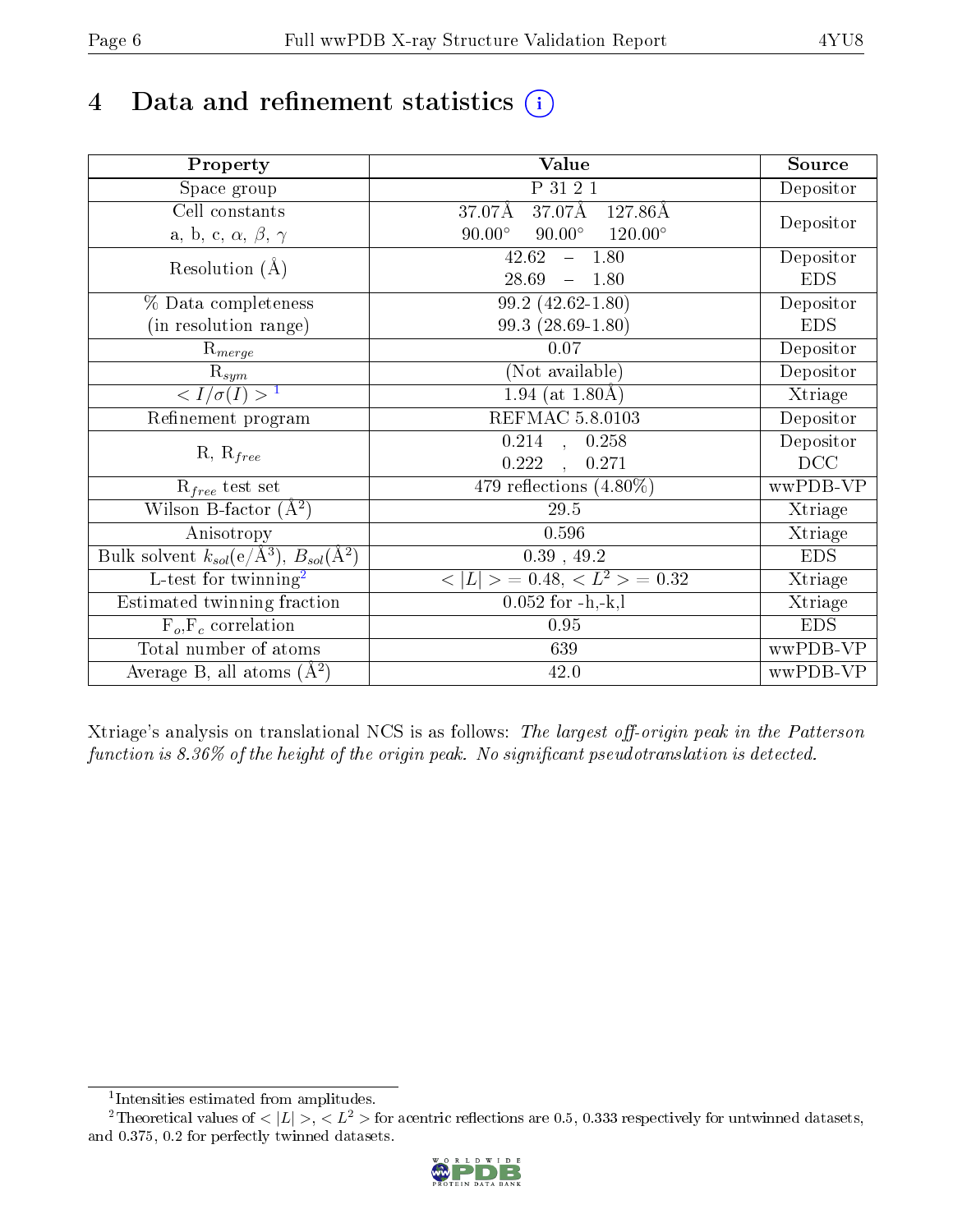# 4 Data and refinement statistics  $(i)$

| Property                                                   | <b>Value</b>                                     | Source     |
|------------------------------------------------------------|--------------------------------------------------|------------|
| Space group                                                | P 31 2 1                                         | Depositor  |
| Cell constants                                             | 37.07Å<br>$127.86\text{\AA}$<br>37.07Å           |            |
| a, b, c, $\alpha$ , $\beta$ , $\gamma$                     | $90.00^\circ$<br>$120.00^\circ$<br>$90.00^\circ$ | Depositor  |
| Resolution $(A)$                                           | 42.62<br>$-1.80$                                 | Depositor  |
|                                                            | 28.69<br>1.80<br>$\equiv$                        | <b>EDS</b> |
| % Data completeness                                        | $\overline{99.2}$ (42.62-1.80)                   | Depositor  |
| (in resolution range)                                      | $99.3(28.69-1.80)$                               | <b>EDS</b> |
| $R_{merge}$                                                | 0.07                                             | Depositor  |
| $\mathrm{R}_{sym}$                                         | (Not available)                                  | Depositor  |
| $\langle I/\sigma(I) \rangle^{-1}$                         | $1.94$ (at 1.80Å)                                | Xtriage    |
| Refinement program                                         | REFMAC 5.8.0103                                  | Depositor  |
|                                                            | $\overline{0.214}$ ,<br>0.258                    | Depositor  |
| $R, R_{free}$                                              | 0.222<br>0.271<br>$\ddot{\phantom{a}}$           | DCC        |
| $R_{free}$ test set                                        | 479 reflections $(4.80\%)$                       | wwPDB-VP   |
| Wilson B-factor $(A^2)$                                    | $29.5\,$                                         | Xtriage    |
| Anisotropy                                                 | 0.596                                            | Xtriage    |
| Bulk solvent $k_{sol}$ (e/Å <sup>3</sup> ), $B_{sol}(A^2)$ | $0.39$ , $49.2$                                  | <b>EDS</b> |
| $\overline{L}$ -test for twinning <sup>2</sup>             | $< L >$ = 0.48, $< L2$ = 0.32                    | Xtriage    |
| Estimated twinning fraction                                | $0.052$ for $-h,-k,l$                            | Xtriage    |
| $F_o, F_c$ correlation                                     | 0.95                                             | <b>EDS</b> |
| Total number of atoms                                      | 639                                              | wwPDB-VP   |
| Average B, all atoms $(A^2)$                               | 42.0                                             | wwPDB-VP   |

Xtriage's analysis on translational NCS is as follows: The largest off-origin peak in the Patterson function is  $8.36\%$  of the height of the origin peak. No significant pseudotranslation is detected.

<sup>&</sup>lt;sup>2</sup>Theoretical values of  $\langle |L| \rangle$ ,  $\langle L^2 \rangle$  for acentric reflections are 0.5, 0.333 respectively for untwinned datasets, and 0.375, 0.2 for perfectly twinned datasets.



<span id="page-5-1"></span><span id="page-5-0"></span><sup>1</sup> Intensities estimated from amplitudes.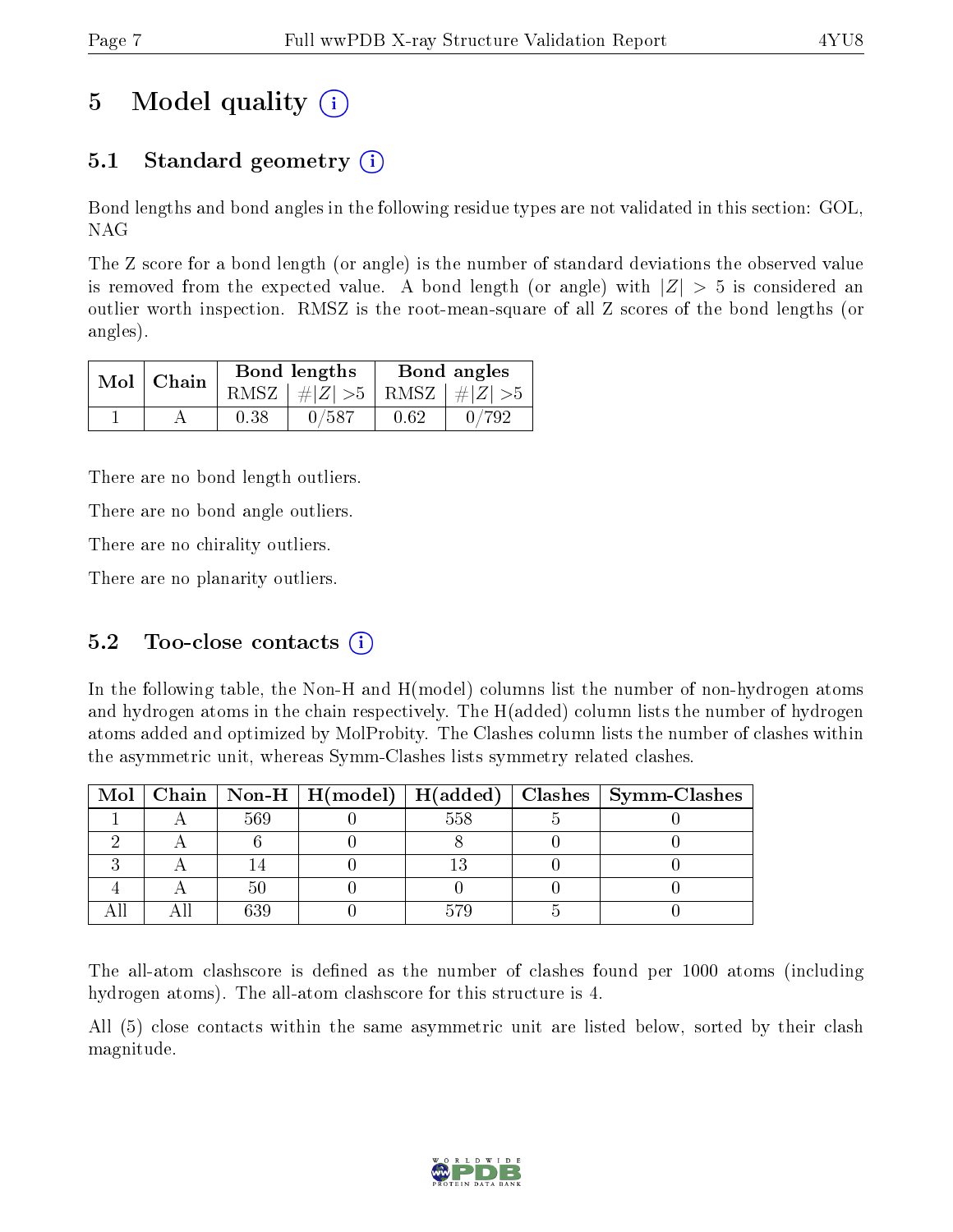# 5 Model quality  $(i)$

### 5.1 Standard geometry  $\overline{()}$

Bond lengths and bond angles in the following residue types are not validated in this section: GOL, NAG

The Z score for a bond length (or angle) is the number of standard deviations the observed value is removed from the expected value. A bond length (or angle) with  $|Z| > 5$  is considered an outlier worth inspection. RMSZ is the root-mean-square of all Z scores of the bond lengths (or angles).

|  | $Mol$   Chain |      | Bond lengths                    | Bond angles |       |  |
|--|---------------|------|---------------------------------|-------------|-------|--|
|  |               |      | RMSZ $ #Z  > 5$ RMSZ $ #Z  > 5$ |             |       |  |
|  |               | 0.38 | 0/587                           | 0.62        | 0/792 |  |

There are no bond length outliers.

There are no bond angle outliers.

There are no chirality outliers.

There are no planarity outliers.

### 5.2 Too-close contacts  $(i)$

In the following table, the Non-H and H(model) columns list the number of non-hydrogen atoms and hydrogen atoms in the chain respectively. The H(added) column lists the number of hydrogen atoms added and optimized by MolProbity. The Clashes column lists the number of clashes within the asymmetric unit, whereas Symm-Clashes lists symmetry related clashes.

|  |      |     | Mol   Chain   Non-H   H(model)   H(added)   Clashes   Symm-Clashes |
|--|------|-----|--------------------------------------------------------------------|
|  | -569 | 558 |                                                                    |
|  |      |     |                                                                    |
|  |      |     |                                                                    |
|  |      |     |                                                                    |
|  | ຂາເ  |     |                                                                    |

The all-atom clashscore is defined as the number of clashes found per 1000 atoms (including hydrogen atoms). The all-atom clashscore for this structure is 4.

All (5) close contacts within the same asymmetric unit are listed below, sorted by their clash magnitude.

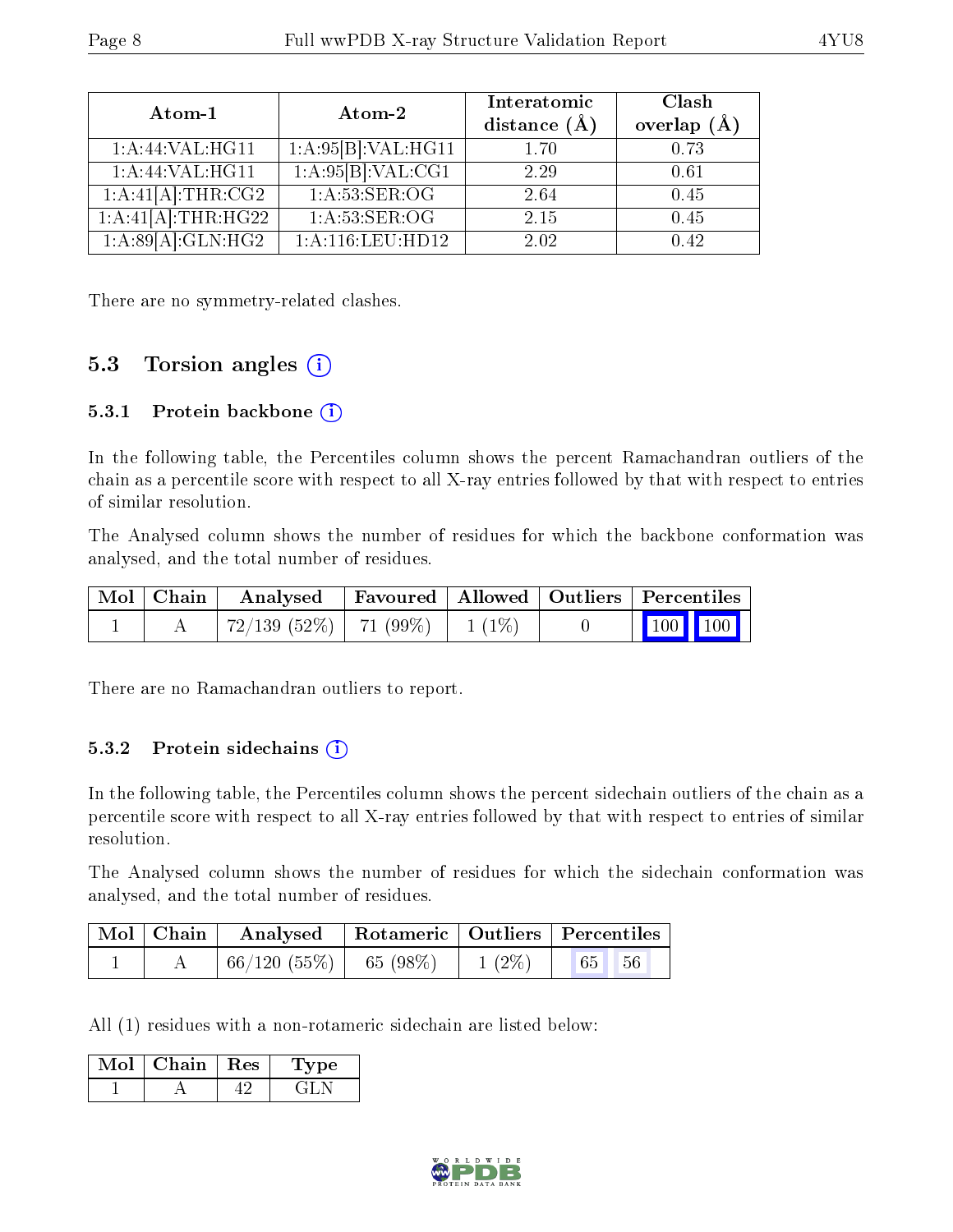| Atom-1                                                                       | Atom-2                 | Interatomic<br>distance $(A)$ | Clash<br>overlap $(\AA)$ |
|------------------------------------------------------------------------------|------------------------|-------------------------------|--------------------------|
| 1: A:44: VAL:HGI1                                                            | 1:A:95[B]:VAL:HG11     | 1.70                          | 0.73                     |
| $1:$ A:44:VAL:HG11                                                           | 1:A:95[B]:VAL:CG1      | 2.29                          | 0.61                     |
| $1:A:\overline{41[A]:THR:CG2}$                                               | 1: A:53:SER:OG         | 2.64                          | 0.45                     |
| $1:A:41[\overline{A}]\colon\overline{\text{THR}}:\overline{H}\overline{G}22$ | 1: A:53: SER:OG        | 2.15                          | 0.45                     |
| $1:A:89[A]:GLN:\overline{HG2}$                                               | $1: A: 116:$ LEU: HD12 | 2.02                          | 0.42                     |

There are no symmetry-related clashes.

### 5.3 Torsion angles (i)

#### 5.3.1 Protein backbone  $(i)$

In the following table, the Percentiles column shows the percent Ramachandran outliers of the chain as a percentile score with respect to all X-ray entries followed by that with respect to entries of similar resolution.

The Analysed column shows the number of residues for which the backbone conformation was analysed, and the total number of residues.

|  | Mol   Chain   Analysed   Favoured   Allowed   Outliers   Percentiles |  |                         |  |  |
|--|----------------------------------------------------------------------|--|-------------------------|--|--|
|  | $72/139$ (52%)   71 (99%)   1 (1%)                                   |  | $\vert$ 100 100 $\vert$ |  |  |

There are no Ramachandran outliers to report.

#### 5.3.2 Protein sidechains  $(i)$

In the following table, the Percentiles column shows the percent sidechain outliers of the chain as a percentile score with respect to all X-ray entries followed by that with respect to entries of similar resolution.

The Analysed column shows the number of residues for which the sidechain conformation was analysed, and the total number of residues.

| Mol   Chain | Analysed   Rotameric   Outliers   Percentiles |          |       |  |
|-------------|-----------------------------------------------|----------|-------|--|
|             | $66/120(55\%)$ 65 (98\%)                      | $1(2\%)$ | 65 56 |  |

All (1) residues with a non-rotameric sidechain are listed below:

| Chain | $\perp$ Res | рe<br><b>ду</b> |
|-------|-------------|-----------------|
|       |             |                 |

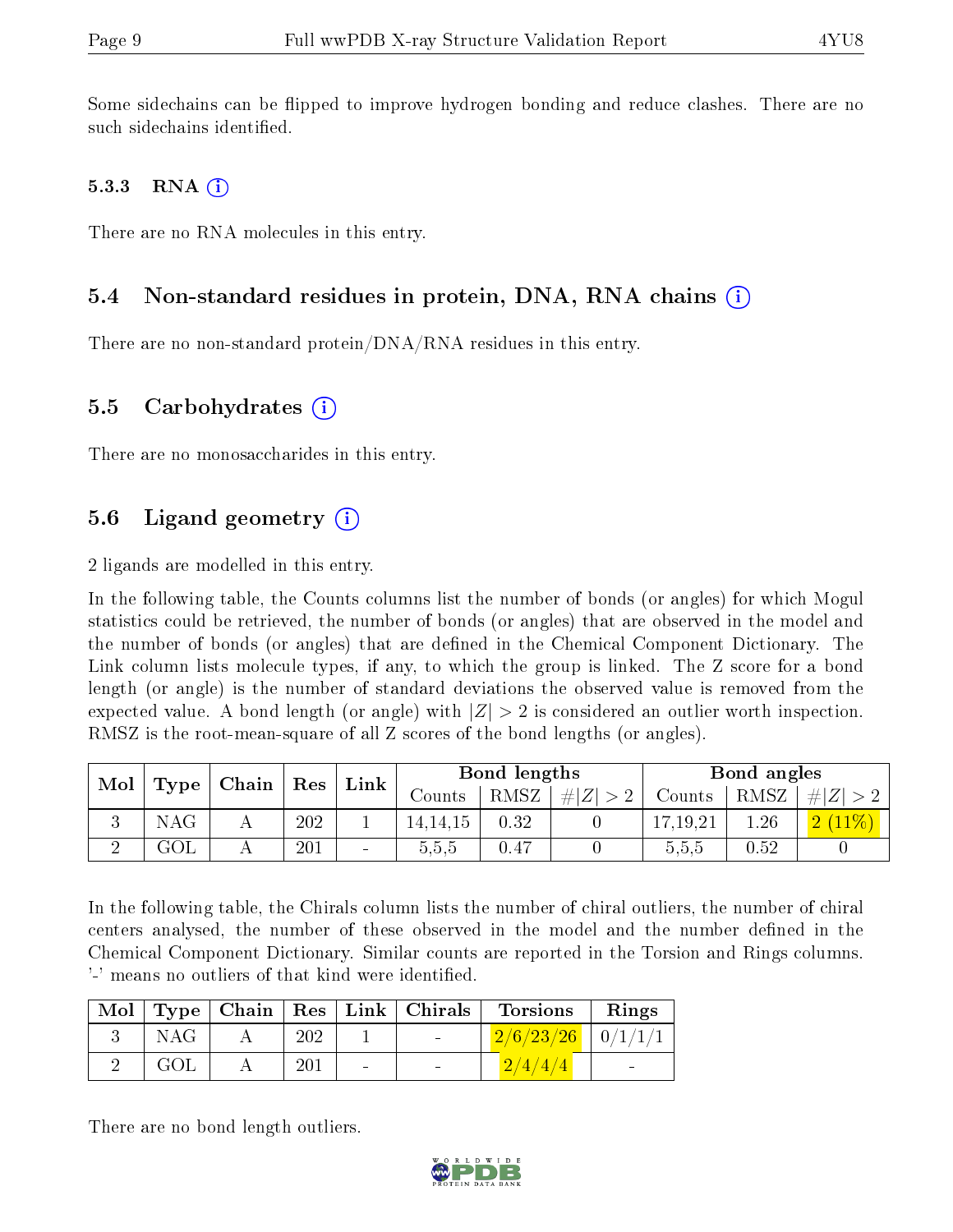Some sidechains can be flipped to improve hydrogen bonding and reduce clashes. There are no such sidechains identified.

#### 5.3.3 RNA  $(i)$

There are no RNA molecules in this entry.

#### 5.4 Non-standard residues in protein, DNA, RNA chains (i)

There are no non-standard protein/DNA/RNA residues in this entry.

#### 5.5 Carbohydrates  $(i)$

There are no monosaccharides in this entry.

### 5.6 Ligand geometry  $(i)$

2 ligands are modelled in this entry.

In the following table, the Counts columns list the number of bonds (or angles) for which Mogul statistics could be retrieved, the number of bonds (or angles) that are observed in the model and the number of bonds (or angles) that are dened in the Chemical Component Dictionary. The Link column lists molecule types, if any, to which the group is linked. The Z score for a bond length (or angle) is the number of standard deviations the observed value is removed from the expected value. A bond length (or angle) with  $|Z| > 2$  is considered an outlier worth inspection. RMSZ is the root-mean-square of all Z scores of the bond lengths (or angles).

| Mol | Type                    |   |     |                   |            |             |        |            | Link        |        | Bond lengths |  |  | Bond angles |  |  |
|-----|-------------------------|---|-----|-------------------|------------|-------------|--------|------------|-------------|--------|--------------|--|--|-------------|--|--|
|     | $\mid$ Chain $\mid$ Res |   |     | $\mathrm{Counts}$ | $RMSZ_1$   | # $ Z  > 2$ | Counts | RMSZ       | # $ Z  > 2$ |        |              |  |  |             |  |  |
|     | <b>NAG</b>              | A | 202 |                   | 14, 14, 15 | 0.32        |        | 17, 19, 21 | 1.26        | $11\%$ |              |  |  |             |  |  |
|     | $\rm GOL$               |   | 201 |                   | 5,5,5      | 0.47        |        | 5,5,5      | 0.52        |        |              |  |  |             |  |  |

In the following table, the Chirals column lists the number of chiral outliers, the number of chiral centers analysed, the number of these observed in the model and the number defined in the Chemical Component Dictionary. Similar counts are reported in the Torsion and Rings columns. '-' means no outliers of that kind were identified.

|            |     |        | $\text{Mol}$   Type   Chain   Res   Link   Chirals | Torsions                                 | Rings |
|------------|-----|--------|----------------------------------------------------|------------------------------------------|-------|
| <b>NAG</b> | 202 |        | $\sim 100$                                         | $2/6/23/26$   $0/1/1/1$                  |       |
| GOL        | 201 | $\sim$ | $\blacksquare$                                     | $\left( \frac{2}{4}/\frac{4}{4} \right)$ |       |

There are no bond length outliers.

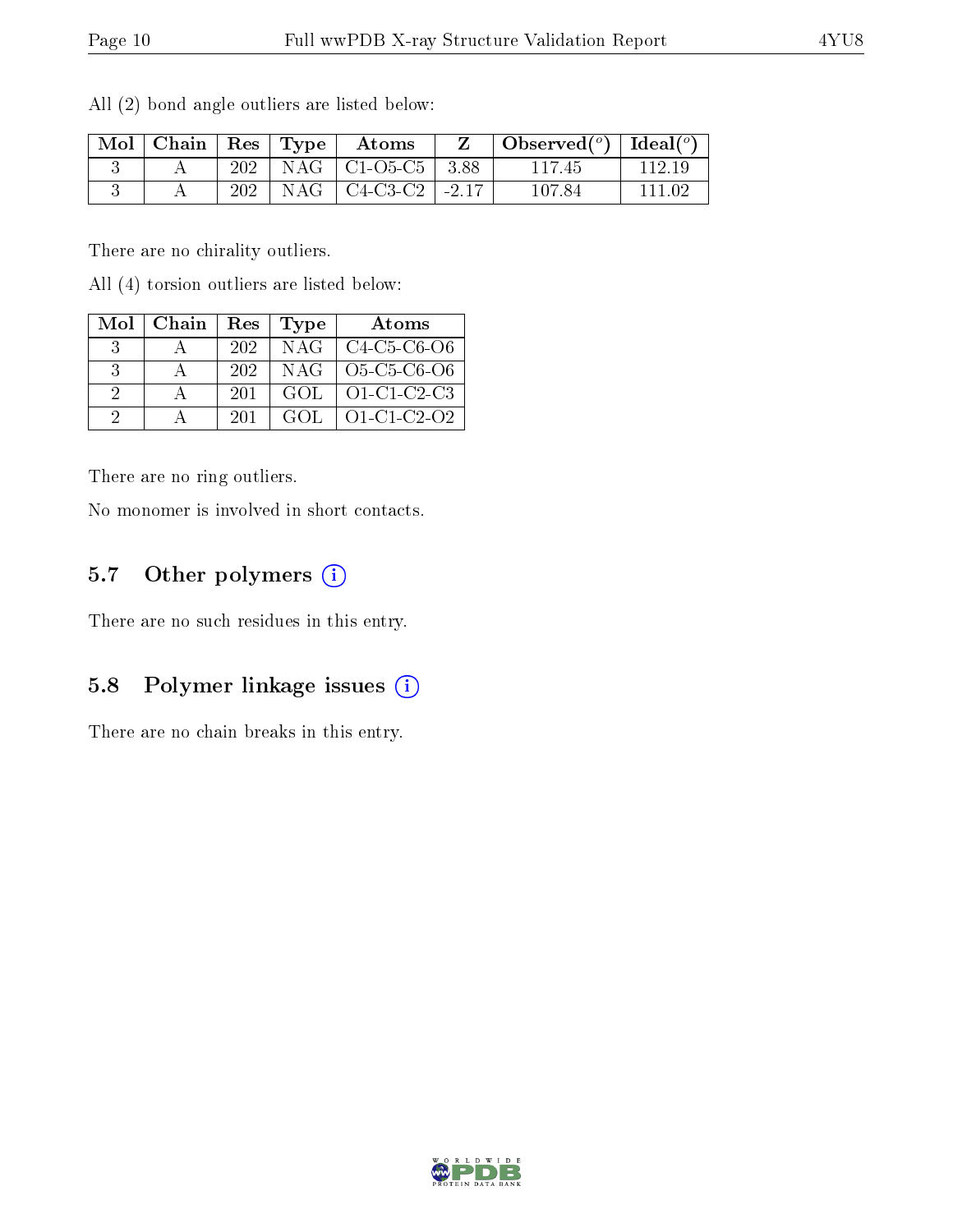| $\mid$ Mol $\mid$ Chain $\mid$ Res $\mid$ Type $\mid$ |     | Atoms                         | $\bullet$ Observed( <sup>o</sup> )   Ideal( <sup>o</sup> ) |         |
|-------------------------------------------------------|-----|-------------------------------|------------------------------------------------------------|---------|
|                                                       |     | $202$   NAG   C1-O5-C5   3.88 | 117 45                                                     | 112.19  |
|                                                       | 202 | $NAG$   C4-C3-C2   -2.17      | 107.84                                                     | -111 09 |

All (2) bond angle outliers are listed below:

There are no chirality outliers.

All (4) torsion outliers are listed below:

| Mol | Chain | Res  | Type | Atoms                 |
|-----|-------|------|------|-----------------------|
| -3- |       | -202 | NAG  | C4-C5-C6-O6           |
| -3- |       | 202  |      | $NAG$   $O5-C5-C6-O6$ |
| 2   |       | 201  | GOL. | O1-C1-C2-C3           |
|     |       | 201  | GOL. | $O1-C1-C2-O2$         |

There are no ring outliers.

No monomer is involved in short contacts.

#### 5.7 [O](https://www.wwpdb.org/validation/2017/XrayValidationReportHelp#nonstandard_residues_and_ligands)ther polymers (i)

There are no such residues in this entry.

#### 5.8 Polymer linkage issues  $(i)$

There are no chain breaks in this entry.

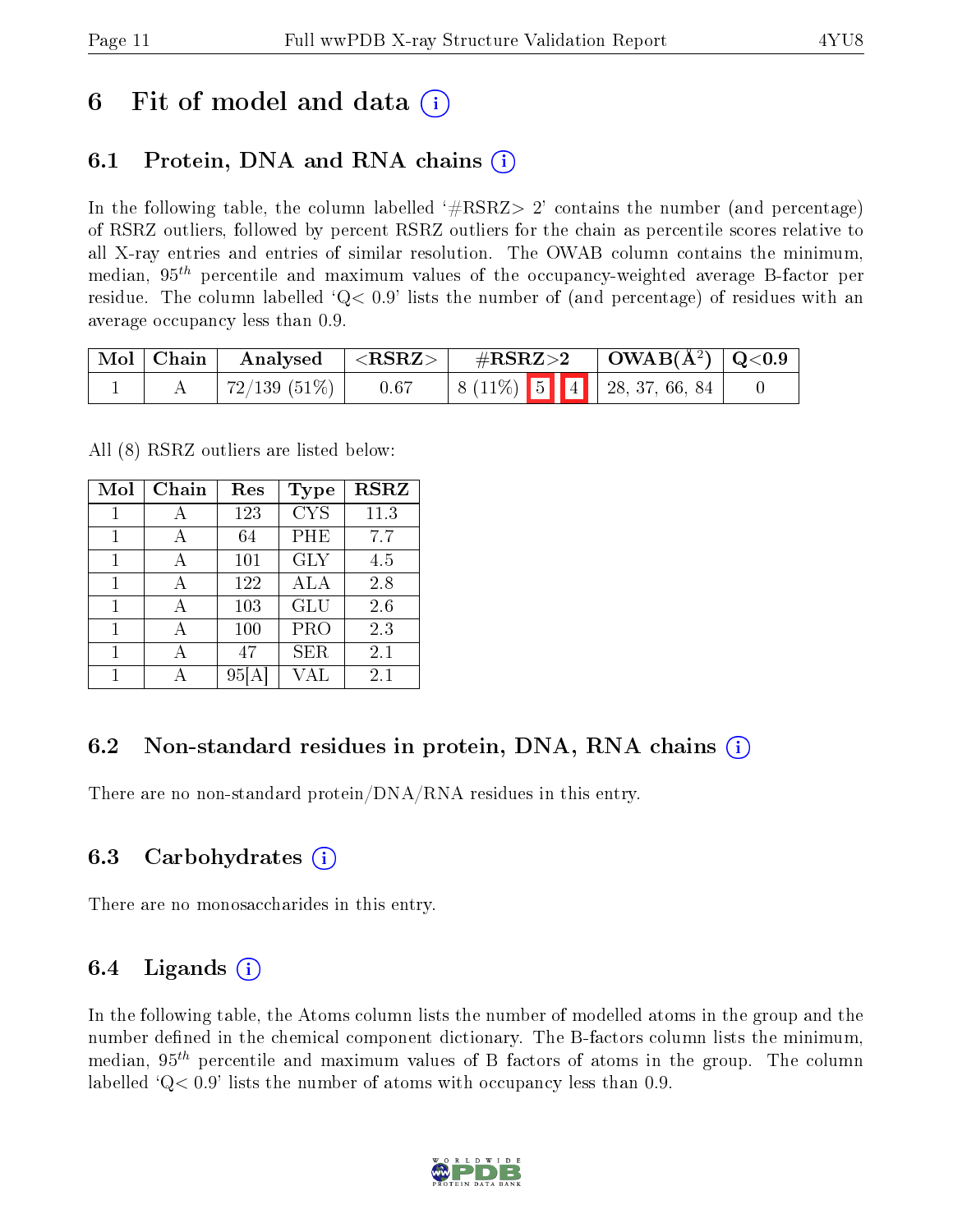## 6 Fit of model and data  $\left( \cdot \right)$

### 6.1 Protein, DNA and RNA chains (i)

In the following table, the column labelled  $#RSRZ>2'$  contains the number (and percentage) of RSRZ outliers, followed by percent RSRZ outliers for the chain as percentile scores relative to all X-ray entries and entries of similar resolution. The OWAB column contains the minimum, median,  $95<sup>th</sup>$  percentile and maximum values of the occupancy-weighted average B-factor per residue. The column labelled  $Q < 0.9$  lists the number of (and percentage) of residues with an average occupancy less than 0.9.

|  | $\mid$ Mol $\mid$ Chain $\mid$ Analysed $\mid$ <rsrz> <math>\mid</math></rsrz> |      | $\sqrt{\text{HSSRZ}>2}$ $\sqrt{\text{OWAB(A)}}$ $\sqrt{\text{Q}}<0.9$ |  |                                                                       |  |
|--|--------------------------------------------------------------------------------|------|-----------------------------------------------------------------------|--|-----------------------------------------------------------------------|--|
|  | $72/139$ (51\%)                                                                | 0.67 |                                                                       |  | $\vert 8 \ (11\%) \ \vert 5 \ \vert 4 \ \vert 28, 37, 66, 84 \ \vert$ |  |

All (8) RSRZ outliers are listed below:

| $\overline{\text{Mol}}$ | Chain | Res | <b>Type</b> | <b>RSRZ</b> |
|-------------------------|-------|-----|-------------|-------------|
| 1                       | А     | 123 | <b>CYS</b>  | 11.3        |
| 1                       | А     | 64  | PHE         | 7.7         |
| 1                       | А     | 101 | <b>GLY</b>  | 4.5         |
| 1                       | А     | 122 | ALA         | 2.8         |
| 1                       | А     | 103 | <b>GLU</b>  | 2.6         |
| 1                       |       | 100 | PRO         | 2.3         |
| 1                       |       | 47  | <b>SER</b>  | 2.1         |
|                         |       |     | VAL         | $2.1\,$     |

### 6.2 Non-standard residues in protein, DNA, RNA chains  $(i)$

There are no non-standard protein/DNA/RNA residues in this entry.

#### 6.3 Carbohydrates (i)

There are no monosaccharides in this entry.

### 6.4 Ligands  $(i)$

In the following table, the Atoms column lists the number of modelled atoms in the group and the number defined in the chemical component dictionary. The B-factors column lists the minimum, median,  $95<sup>th</sup>$  percentile and maximum values of B factors of atoms in the group. The column labelled  $Q< 0.9$ ' lists the number of atoms with occupancy less than 0.9.